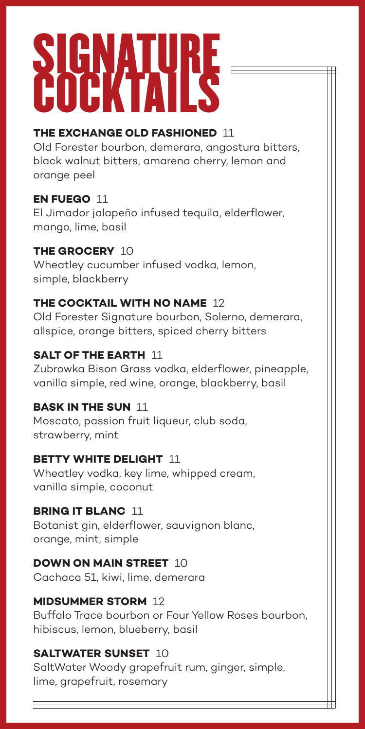# SIGNATURE

# **THE EXCHANGE OLD FASHIONED** 11

Old Forester bourbon, demerara, angostura bitters, black walnut bitters, amarena cherry, lemon and orange peel

# **EN FUEGO** 11

El Jimador jalapeño infused tequila, elderflower, mango, lime, basil

# **THE GROCERY** 10

Wheatley cucumber infused vodka, lemon, simple, blackberry

# **THE COCKTAIL WITH NO NAME** 12

Old Forester Signature bourbon, Solerno, demerara, allspice, orange bitters, spiced cherry bitters

# **SALT OF THE EARTH 11**

Zubrowka Bison Grass vodka, elderflower, pineapple, vanilla simple, red wine, orange, blackberry, basil

# **BASK IN THE SUN** 11

Moscato, passion fruit liqueur, club soda, strawberry, mint

### **BETTY WHITE DELIGHT** 11

Wheatley vodka, key lime, whipped cream, vanilla simple, coconut

# **BRING IT BLANC** 11

Botanist gin, elderflower, sauvignon blanc, orange, mint, simple

### **DOWN ON MAIN STREET** 10

Cachaca 51, kiwi, lime, demerara

# **MIDSUMMER STORM** 12

Buffalo Trace bourbon or Four Yellow Roses bourbon, hibiscus, lemon, blueberry, basil

# **SALTWATER SUNSET** 10

SaltWater Woody grapefruit rum, ginger, simple, lime, grapefruit, rosemary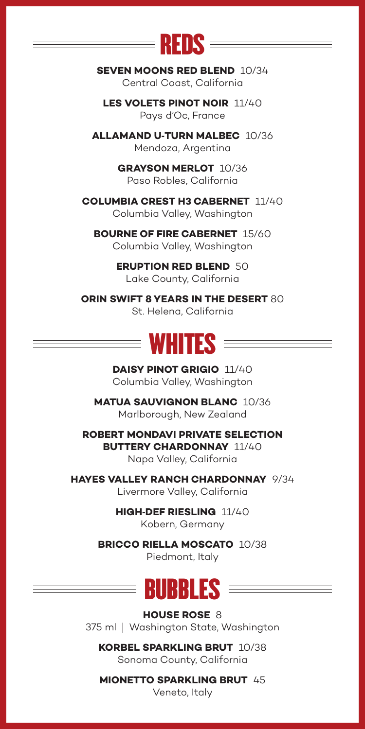

**SEVEN MOONS RED BLEND** 10/34 Central Coast, California

**LES VOLETS PINOT NOIR** 11/40 Pays d'Oc, France

**ALLAMAND U**-**TURN MALBEC** 10/36 Mendoza, Argentina

> **GRAYSON MERLOT** 10/36 Paso Robles, California

**COLUMBIA CREST H3 CABERNET** 11/40 Columbia Valley, Washington

**BOURNE OF FIRE CABERNET** 15/60 Columbia Valley, Washington

> **ERUPTION RED BLEND** 50 Lake County, California

**ORIN SWIFT 8 YEARS IN THE DESERT** 80 St. Helena, California



**DAISY PINOT GRIGIO** 11/40 Columbia Valley, Washington

**MATUA SAUVIGNON BLANC** 10/36 Marlborough, New Zealand

**ROBERT MONDAVI PRIVATE SELECTION BUTTERY CHARDONNAY** 11/40 Napa Valley, California

**HAYES VALLEY RANCH CHARDONNAY** 9/34 Livermore Valley, California

> **HIGH**-**DEF RIESLING** 11/40 Kobern, Germany

**BRICCO RIELLA MOSCATO** 10/38 Piedmont, Italy

# $\equiv$  Bubbles  $\equiv$

**HOUSE ROSE** 8 375 ml|Washington State, Washington

**KORBEL SPARKLING BRUT** 10/38 Sonoma County, California

**MIONETTO SPARKLING BRUT** 45

Veneto, Italy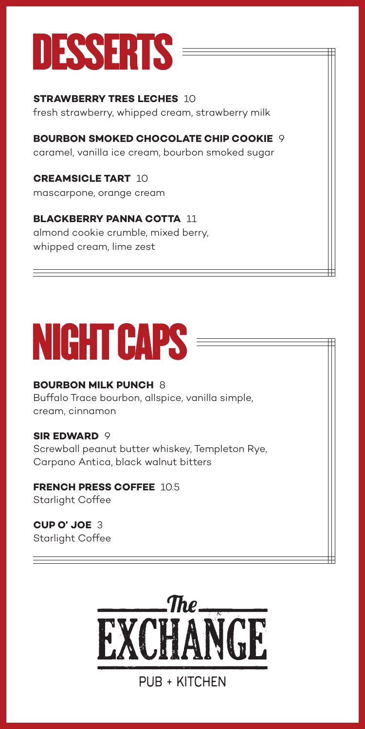

**STRAWBERRY TRES LECHES** 10 fresh strawberry, whipped cream, strawberry milk

**BOURBON SMOKED CHOCOLATE CHIP COOKIE 9** caramel, vanilla ice cream, bourbon smoked sugar

**CREAMSICLE TART** 10 mascarpone, orange cream

#### **BLACKBERRY PANNA COTTA** 11 almond cookie crumble, mixed berry,

whipped cream, lime zest

# **NIGHT CAPS =**

#### **BOURBON MILK PUNCH 8**

Buffalo Trace bourbon, allspice, vanilla simple, cream, cinnamon

#### **SIR EDWARD 9**

Screwball peanut butter whiskey, Templeton Rye, Carpano Antica, black walnut bitters

#### **FRENCH PRESS COFFEE** 10.5 Starlight Coffee

**CUP O' JOE** 3 Starlight Coffee



# PUB + KITCHEN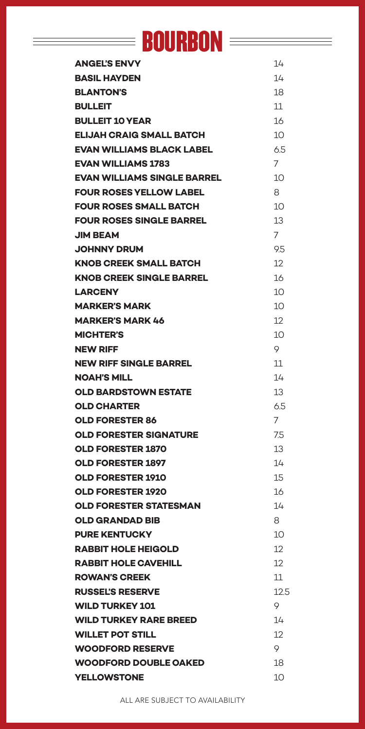# **BOURBON**

 $\equiv$ 

| <b>ANGEL'S ENVY</b>                | 14            |
|------------------------------------|---------------|
| <b>BASIL HAYDEN</b>                | 14            |
| <b>BLANTON'S</b>                   | 18            |
| <b>BULLEIT</b>                     | 11            |
| <b>BULLEIT 10 YEAR</b>             | 16            |
| <b>ELIJAH CRAIG SMALL BATCH</b>    | 10            |
| <b>EVAN WILLIAMS BLACK LABEL</b>   | 6.5           |
| <b>EVAN WILLIAMS 1783</b>          | 7             |
| <b>EVAN WILLIAMS SINGLE BARREL</b> | 10            |
| <b>FOUR ROSES YELLOW LABEL</b>     | 8             |
| <b>FOUR ROSES SMALL BATCH</b>      | 10            |
| <b>FOUR ROSES SINGLE BARREL</b>    | 13            |
| JIM BEAM                           | 7             |
| <b>JOHNNY DRUM</b>                 | 9.5           |
| <b>KNOB CREEK SMALL BATCH</b>      | 12            |
| <b>KNOB CREEK SINGLE BARREL</b>    | 16            |
| <b>LARCENY</b>                     | 10            |
| <b>MARKER'S MARK</b>               | 10            |
| <b>MARKER'S MARK 46</b>            | 12            |
| <b>MICHTER'S</b>                   | 10            |
| <b>NEW RIFF</b>                    | 9             |
| <b>NEW RIFF SINGLE BARREL</b>      | 11            |
| <b>NOAH'S MILL</b>                 | 14            |
| <b>OLD BARDSTOWN ESTATE</b>        | 13            |
| OLD CHARTER                        | 6.5           |
| <b>OLD FORESTER 86</b>             | 7             |
| <b>OLD FORESTER SIGNATURE</b>      | 7.5           |
| <b>OLD FORESTER 1870</b>           | 13            |
| <b>OLD FORESTER 1897</b>           | 14            |
| <b>OLD FORESTER 1910</b>           | 15            |
| <b>OLD FORESTER 1920</b>           | 16            |
| <b>OLD FORESTER STATESMAN</b>      | 14            |
| <b>OLD GRANDAD BIB</b>             | 8             |
| <b>PURE KENTUCKY</b>               | 10            |
| <b>RABBIT HOLE HEIGOLD</b>         | $12 \text{ }$ |
| <b>RABBIT HOLE CAVEHILL</b>        | 12            |
| <b>ROWAN'S CREEK</b>               | 11            |
| <b>RUSSEL'S RESERVE</b>            | 12.5          |
| <b>WILD TURKEY 101</b>             | 9             |
| <b>WILD TURKEY RARE BREED</b>      | 14            |
| <b>WILLET POT STILL</b>            | 12            |
| <b>WOODFORD RESERVE</b>            | 9             |
| <b>WOODFORD DOUBLE OAKED</b>       | 18            |
| <b>YELLOWSTONE</b>                 | 10            |